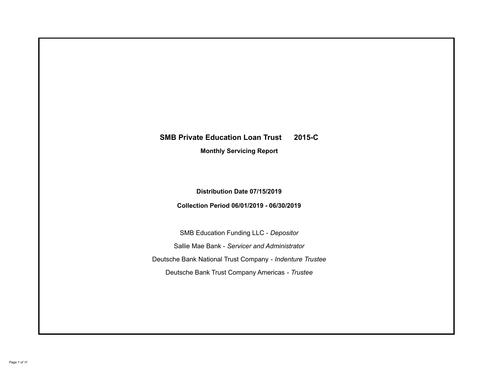# **SMB Private Education Loan Trust 2015-C Monthly Servicing Report**

# **Distribution Date 07/15/2019**

# **Collection Period 06/01/2019 - 06/30/2019**

SMB Education Funding LLC - *Depositor* Sallie Mae Bank - *Servicer and Administrator* Deutsche Bank National Trust Company - *Indenture Trustee* Deutsche Bank Trust Company Americas - *Trustee*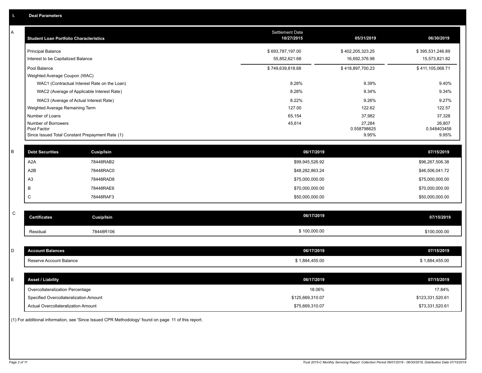| A            | <b>Student Loan Portfolio Characteristics</b>   |                                              | Settlement Date<br>10/27/2015 | 05/31/2019       | 06/30/2019       |
|--------------|-------------------------------------------------|----------------------------------------------|-------------------------------|------------------|------------------|
|              | <b>Principal Balance</b>                        |                                              | \$693,787,197.00              | \$402,205,323.25 | \$395,531,246.89 |
|              | Interest to be Capitalized Balance              |                                              | 55,852,621.68                 | 16,692,376.98    | 15,573,821.82    |
|              | Pool Balance                                    |                                              | \$749,639,818.68              | \$418,897,700.23 | \$411,105,068.71 |
|              | Weighted Average Coupon (WAC)                   |                                              |                               |                  |                  |
|              |                                                 | WAC1 (Contractual Interest Rate on the Loan) | 8.28%                         | 9.39%            | 9.40%            |
|              | WAC2 (Average of Applicable Interest Rate)      |                                              | 8.28%                         | 9.34%            | 9.34%            |
|              | WAC3 (Average of Actual Interest Rate)          |                                              | 8.22%                         | 9.26%            | 9.27%            |
|              | Weighted Average Remaining Term                 |                                              | 127.00                        | 122.62           | 122.57           |
|              | Number of Loans<br>Number of Borrowers          |                                              | 65,154<br>45,614              | 37,982<br>27,284 | 37,328<br>26,807 |
|              | Pool Factor                                     |                                              |                               | 0.558798625      | 0.548403458      |
|              | Since Issued Total Constant Prepayment Rate (1) |                                              |                               | 9.95%            | 9.95%            |
| В            | <b>Debt Securities</b>                          | <b>Cusip/Isin</b>                            | 06/17/2019                    |                  | 07/15/2019       |
|              | A <sub>2</sub> A                                | 78448RAB2                                    | \$99,945,526.92               |                  | \$96,267,506.38  |
|              | A <sub>2</sub> B                                | 78448RAC0                                    | \$48,282,863.24               |                  | \$46,506,041.72  |
|              | A <sub>3</sub>                                  | 78448RAD8                                    | \$75,000,000.00               |                  | \$75,000,000.00  |
|              | B                                               | 78448RAE6                                    | \$70,000,000.00               |                  | \$70,000,000.00  |
|              | C                                               | 78448RAF3                                    | \$50,000,000.00               |                  | \$50,000,000.00  |
|              |                                                 |                                              |                               |                  |                  |
| $\mathsf{C}$ | <b>Certificates</b>                             | <b>Cusip/Isin</b>                            | 06/17/2019                    |                  | 07/15/2019       |
|              | Residual                                        | 78448R106                                    | \$100,000.00                  |                  | \$100,000.00     |
|              |                                                 |                                              |                               |                  |                  |
| D            | <b>Account Balances</b>                         |                                              | 06/17/2019                    |                  | 07/15/2019       |
|              | Reserve Account Balance                         |                                              | \$1,884,455.00                |                  | \$1,884,455.00   |
|              |                                                 |                                              |                               |                  |                  |
| E            | <b>Asset / Liability</b>                        |                                              | 06/17/2019                    |                  | 07/15/2019       |
|              | Overcollateralization Percentage                |                                              | 18.06%                        |                  | 17.84%           |
|              | Specified Overcollateralization Amount          |                                              | \$125,669,310.07              |                  | \$123,331,520.61 |
|              | Actual Overcollateralization Amount             |                                              | \$75,669,310.07               |                  | \$73,331,520.61  |

(1) For additional information, see 'Since Issued CPR Methodology' found on page 11 of this report.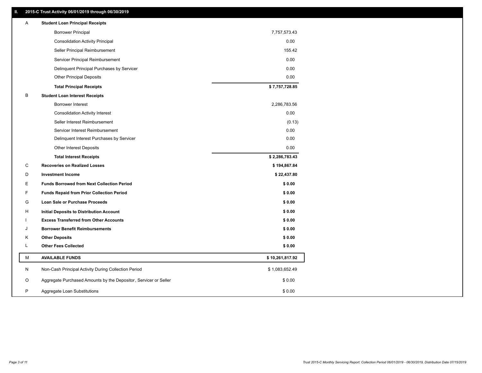### **II. 2015-C Trust Activity 06/01/2019 through 06/30/2019**

| Α | <b>Student Loan Principal Receipts</b>                           |                 |
|---|------------------------------------------------------------------|-----------------|
|   | <b>Borrower Principal</b>                                        | 7,757,573.43    |
|   | <b>Consolidation Activity Principal</b>                          | 0.00            |
|   | Seller Principal Reimbursement                                   | 155.42          |
|   | Servicer Principal Reimbursement                                 | 0.00            |
|   | Delinquent Principal Purchases by Servicer                       | 0.00            |
|   | <b>Other Principal Deposits</b>                                  | 0.00            |
|   | <b>Total Principal Receipts</b>                                  | \$7,757,728.85  |
| В | <b>Student Loan Interest Receipts</b>                            |                 |
|   | <b>Borrower Interest</b>                                         | 2,286,783.56    |
|   | <b>Consolidation Activity Interest</b>                           | 0.00            |
|   | Seller Interest Reimbursement                                    | (0.13)          |
|   | Servicer Interest Reimbursement                                  | 0.00            |
|   | Delinquent Interest Purchases by Servicer                        | 0.00            |
|   | Other Interest Deposits                                          | 0.00            |
|   | <b>Total Interest Receipts</b>                                   | \$2,286,783.43  |
| C | <b>Recoveries on Realized Losses</b>                             | \$194,867.84    |
| D | <b>Investment Income</b>                                         | \$22,437.80     |
| Е | <b>Funds Borrowed from Next Collection Period</b>                | \$0.00          |
| F | <b>Funds Repaid from Prior Collection Period</b>                 | \$0.00          |
| G | Loan Sale or Purchase Proceeds                                   | \$0.00          |
| н | Initial Deposits to Distribution Account                         | \$0.00          |
|   | <b>Excess Transferred from Other Accounts</b>                    | \$0.00          |
| J | <b>Borrower Benefit Reimbursements</b>                           | \$0.00          |
| Κ | <b>Other Deposits</b>                                            | \$0.00          |
| Г | <b>Other Fees Collected</b>                                      | \$0.00          |
| М | <b>AVAILABLE FUNDS</b>                                           | \$10,261,817.92 |
| N | Non-Cash Principal Activity During Collection Period             | \$1,083,652.49  |
| O | Aggregate Purchased Amounts by the Depositor, Servicer or Seller | \$0.00          |
| P | Aggregate Loan Substitutions                                     | \$0.00          |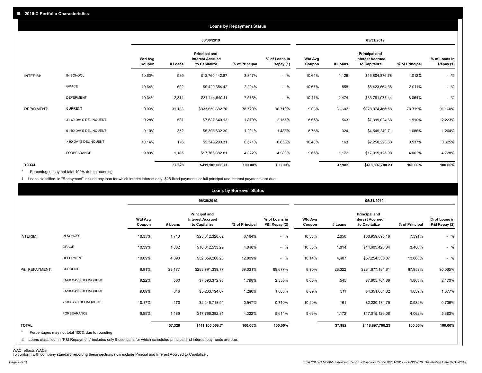|                   |                       |                          |         |                                                           | <b>Loans by Repayment Status</b> |                            |                          |         |                                                           |                |                            |
|-------------------|-----------------------|--------------------------|---------|-----------------------------------------------------------|----------------------------------|----------------------------|--------------------------|---------|-----------------------------------------------------------|----------------|----------------------------|
|                   |                       |                          |         | 06/30/2019                                                |                                  |                            |                          |         | 05/31/2019                                                |                |                            |
|                   |                       | <b>Wtd Avg</b><br>Coupon | # Loans | Principal and<br><b>Interest Accrued</b><br>to Capitalize | % of Principal                   | % of Loans in<br>Repay (1) | <b>Wtd Avg</b><br>Coupon | # Loans | Principal and<br><b>Interest Accrued</b><br>to Capitalize | % of Principal | % of Loans in<br>Repay (1) |
| INTERIM:          | IN SCHOOL             | 10.60%                   | 935     | \$13,760,442.87                                           | 3.347%                           | $-$ %                      | 10.64%                   | 1,126   | \$16,804,876.78                                           | 4.012%         | $-$ %                      |
|                   | GRACE                 | 10.64%                   | 602     | \$9,429,354.42                                            | 2.294%                           | $-$ %                      | 10.67%                   | 558     | \$8,423,664.38                                            | 2.011%         | $-$ %                      |
|                   | <b>DEFERMENT</b>      | 10.34%                   | 2,314   | \$31,144,640.11                                           | 7.576%                           | $-$ %                      | 10.41%                   | 2,474   | \$33,781,077.44                                           | 8.064%         | $-$ %                      |
| <b>REPAYMENT:</b> | <b>CURRENT</b>        | 9.03%                    | 31,183  | \$323,659,682.76                                          | 78.729%                          | 90.719%                    | 9.03%                    | 31,602  | \$328,074,466.58                                          | 78.319%        | 91.160%                    |
|                   | 31-60 DAYS DELINQUENT | 9.28%                    | 581     | \$7,687,640.13                                            | 1.870%                           | 2.155%                     | 8.65%                    | 563     | \$7,999,024.66                                            | 1.910%         | 2.223%                     |
|                   | 61-90 DAYS DELINQUENT | 9.10%                    | 352     | \$5,308,632.30                                            | 1.291%                           | 1.488%                     | 8.75%                    | 324     | \$4,549,240.71                                            | 1.086%         | 1.264%                     |
|                   | > 90 DAYS DELINQUENT  | 10.14%                   | 176     | \$2,348,293.31                                            | 0.571%                           | 0.658%                     | 10.48%                   | 163     | \$2,250,223.60                                            | 0.537%         | 0.625%                     |
|                   | FORBEARANCE           | 9.89%                    | 1,185   | \$17,766,382.81                                           | 4.322%                           | 4.980%                     | 9.66%                    | 1,172   | \$17,015,126.08                                           | 4.062%         | 4.728%                     |
| <b>TOTAL</b>      |                       |                          | 37,328  | \$411,105,068.71                                          | 100.00%                          | 100.00%                    |                          | 37,982  | \$418,897,700.23                                          | 100.00%        | 100.00%                    |

Percentages may not total 100% due to rounding  $\star$ 

1 Loans classified in "Repayment" include any loan for which interim interest only, \$25 fixed payments or full principal and interest payments are due.

|                         |                                                                                                                                                                                |                          |         |                                                                  | <b>Loans by Borrower Status</b> |                                |                          |         |                                                           |                |                                |
|-------------------------|--------------------------------------------------------------------------------------------------------------------------------------------------------------------------------|--------------------------|---------|------------------------------------------------------------------|---------------------------------|--------------------------------|--------------------------|---------|-----------------------------------------------------------|----------------|--------------------------------|
|                         |                                                                                                                                                                                |                          |         | 06/30/2019                                                       |                                 |                                |                          |         | 05/31/2019                                                |                |                                |
|                         |                                                                                                                                                                                | <b>Wtd Avg</b><br>Coupon | # Loans | <b>Principal and</b><br><b>Interest Accrued</b><br>to Capitalize | % of Principal                  | % of Loans in<br>P&I Repay (2) | <b>Wtd Avg</b><br>Coupon | # Loans | Principal and<br><b>Interest Accrued</b><br>to Capitalize | % of Principal | % of Loans in<br>P&I Repay (2) |
| INTERIM:                | IN SCHOOL                                                                                                                                                                      | 10.33%                   | 1,710   | \$25,342,326.62                                                  | 6.164%                          | $-$ %                          | 10.38%                   | 2,050   | \$30,959,893.18                                           | 7.391%         | $-$ %                          |
|                         | GRACE                                                                                                                                                                          | 10.39%                   | 1,082   | \$16,642,533.29                                                  | 4.048%                          | $-$ %                          | 10.38%                   | 1,014   | \$14,603,423.84                                           | 3.486%         | $-$ %                          |
|                         | <b>DEFERMENT</b>                                                                                                                                                               | 10.09%                   | 4,098   | \$52,659,200.28                                                  | 12.809%                         | $-$ %                          | 10.14%                   | 4,407   | \$57,254,530.87                                           | 13.668%        | $-$ %                          |
| P&I REPAYMENT:          | <b>CURRENT</b>                                                                                                                                                                 | 8.91%                    | 28,177  | \$283,791,339.77                                                 | 69.031%                         | 89.677%                        | 8.90%                    | 28,322  | \$284,677,184.81                                          | 67.959%        | 90.065%                        |
|                         | 31-60 DAYS DELINQUENT                                                                                                                                                          | 9.22%                    | 560     | \$7,393,372.93                                                   | 1.798%                          | 2.336%                         | 8.60%                    | 545     | \$7,805,701.88                                            | 1.863%         | 2.470%                         |
|                         | 61-90 DAYS DELINQUENT                                                                                                                                                          | 9.09%                    | 346     | \$5,263,194.07                                                   | 1.280%                          | 1.663%                         | 8.69%                    | 311     | \$4,351,664.82                                            | 1.039%         | 1.377%                         |
|                         | > 90 DAYS DELINQUENT                                                                                                                                                           | 10.17%                   | 170     | \$2,246,718.94                                                   | 0.547%                          | 0.710%                         | 10.50%                   | 161     | \$2,230,174.75                                            | 0.532%         | 0.706%                         |
|                         | FORBEARANCE                                                                                                                                                                    | 9.89%                    | 1,185   | \$17,766,382.81                                                  | 4.322%                          | 5.614%                         | 9.66%                    | 1,172   | \$17,015,126.08                                           | 4.062%         | 5.383%                         |
| <b>TOTAL</b><br>$\star$ | Percentages may not total 100% due to rounding<br>2 Loans classified in "P&I Repayment" includes only those loans for which scheduled principal and interest payments are due. |                          | 37,328  | \$411,105,068.71                                                 | 100.00%                         | 100.00%                        |                          | 37,982  | \$418,897,700.23                                          | 100.00%        | 100.00%                        |

WAC reflects WAC3 To conform with company standard reporting these sections now include Princial and Interest Accrued to Capitalize .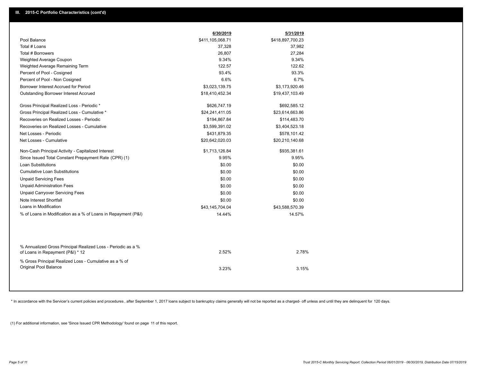|                                                                                                  | 6/30/2019        | 5/31/2019        |  |
|--------------------------------------------------------------------------------------------------|------------------|------------------|--|
| Pool Balance                                                                                     | \$411,105,068.71 | \$418,897,700.23 |  |
| Total # Loans                                                                                    | 37,328           | 37,982           |  |
| Total # Borrowers                                                                                | 26,807           | 27,284           |  |
| Weighted Average Coupon                                                                          | 9.34%            | 9.34%            |  |
| Weighted Average Remaining Term                                                                  | 122.57           | 122.62           |  |
| Percent of Pool - Cosigned                                                                       | 93.4%            | 93.3%            |  |
| Percent of Pool - Non Cosigned                                                                   | 6.6%             | 6.7%             |  |
| Borrower Interest Accrued for Period                                                             | \$3,023,139.75   | \$3,173,920.46   |  |
| <b>Outstanding Borrower Interest Accrued</b>                                                     | \$18,410,452.34  | \$19,437,103.49  |  |
| Gross Principal Realized Loss - Periodic *                                                       | \$626,747.19     | \$692,585.12     |  |
| Gross Principal Realized Loss - Cumulative *                                                     | \$24,241,411.05  | \$23,614,663.86  |  |
| Recoveries on Realized Losses - Periodic                                                         | \$194,867.84     | \$114,483.70     |  |
| Recoveries on Realized Losses - Cumulative                                                       | \$3,599,391.02   | \$3,404,523.18   |  |
| Net Losses - Periodic                                                                            | \$431,879.35     | \$578,101.42     |  |
| Net Losses - Cumulative                                                                          | \$20,642,020.03  | \$20,210,140.68  |  |
| Non-Cash Principal Activity - Capitalized Interest                                               | \$1,713,126.84   | \$935,381.61     |  |
| Since Issued Total Constant Prepayment Rate (CPR) (1)                                            | 9.95%            | 9.95%            |  |
| <b>Loan Substitutions</b>                                                                        | \$0.00           | \$0.00           |  |
| <b>Cumulative Loan Substitutions</b>                                                             | \$0.00           | \$0.00           |  |
| <b>Unpaid Servicing Fees</b>                                                                     | \$0.00           | \$0.00           |  |
| <b>Unpaid Administration Fees</b>                                                                | \$0.00           | \$0.00           |  |
| <b>Unpaid Carryover Servicing Fees</b>                                                           | \$0.00           | \$0.00           |  |
| Note Interest Shortfall                                                                          | \$0.00           | \$0.00           |  |
| Loans in Modification                                                                            | \$43,145,704.04  | \$43,588,570.39  |  |
| % of Loans in Modification as a % of Loans in Repayment (P&I)                                    | 14.44%           | 14.57%           |  |
|                                                                                                  |                  |                  |  |
| % Annualized Gross Principal Realized Loss - Periodic as a %<br>of Loans in Repayment (P&I) * 12 | 2.52%            | 2.78%            |  |
| % Gross Principal Realized Loss - Cumulative as a % of<br>Original Pool Balance                  | 3.23%            | 3.15%            |  |
|                                                                                                  |                  |                  |  |

\* In accordance with the Servicer's current policies and procedures, after September 1, 2017 loans subject to bankruptcy claims generally will not be reported as a charged- off unless and until they are delinquent for 120

(1) For additional information, see 'Since Issued CPR Methodology' found on page 11 of this report.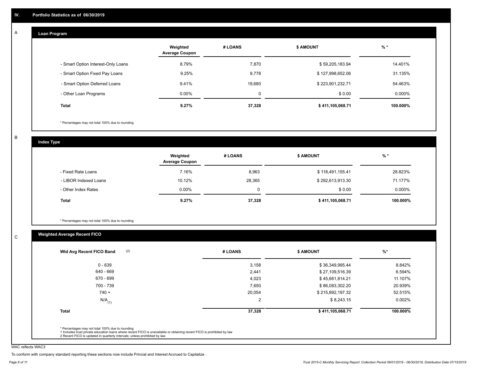#### **Loan Program**  A

|                                    | Weighted<br><b>Average Coupon</b> | # LOANS     | <b>\$ AMOUNT</b> | $%$ *     |
|------------------------------------|-----------------------------------|-------------|------------------|-----------|
| - Smart Option Interest-Only Loans | 8.79%                             | 7,870       | \$59,205,183.94  | 14.401%   |
| - Smart Option Fixed Pay Loans     | 9.25%                             | 9,778       | \$127,998,652.06 | 31.135%   |
| - Smart Option Deferred Loans      | 9.41%                             | 19.680      | \$223,901,232.71 | 54.463%   |
| - Other Loan Programs              | $0.00\%$                          | $\mathbf 0$ | \$0.00           | $0.000\%$ |
| Total                              | 9.27%                             | 37,328      | \$411,105,068.71 | 100.000%  |

\* Percentages may not total 100% due to rounding

B

C

**Index Type**

|                       | Weighted<br><b>Average Coupon</b> | # LOANS | <b>S AMOUNT</b>  | % *      |
|-----------------------|-----------------------------------|---------|------------------|----------|
| - Fixed Rate Loans    | 7.16%                             | 8,963   | \$118,491,155.41 | 28.823%  |
| - LIBOR Indexed Loans | 10.12%                            | 28,365  | \$292,613,913.30 | 71.177%  |
| - Other Index Rates   | $0.00\%$                          | 0       | \$0.00           | 0.000%   |
| Total                 | 9.27%                             | 37,328  | \$411,105,068.71 | 100.000% |

\* Percentages may not total 100% due to rounding

## **Weighted Average Recent FICO**

| $0 - 639$<br>640 - 669<br>670 - 699<br>700 - 739 | 3,158<br>2,441<br>4,023 | \$36,349,995.44<br>\$27,109,516.39<br>\$45,661,814.21 | 8.842%<br>6.594% |
|--------------------------------------------------|-------------------------|-------------------------------------------------------|------------------|
|                                                  |                         |                                                       |                  |
|                                                  |                         |                                                       |                  |
|                                                  |                         |                                                       | 11.107%          |
|                                                  | 7,650                   | \$86,083,302.20                                       | 20.939%          |
| $740 +$                                          | 20,054                  | \$215,892,197.32                                      | 52.515%          |
| $N/A$ <sub>(1)</sub>                             | $\overline{2}$          | \$8,243.15                                            | 0.002%           |
| <b>Total</b>                                     | 37,328                  | \$411,105,068.71                                      | 100.000%         |

WAC reflects WAC3

To conform with company standard reporting these sections now include Princial and Interest Accrued to Capitalize .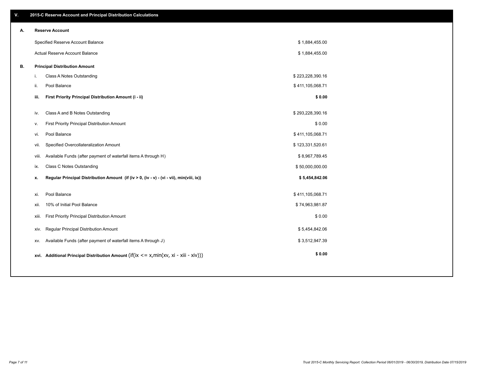| V. |       | 2015-C Reserve Account and Principal Distribution Calculations                             |                  |  |
|----|-------|--------------------------------------------------------------------------------------------|------------------|--|
| А. |       | <b>Reserve Account</b>                                                                     |                  |  |
|    |       | Specified Reserve Account Balance                                                          | \$1,884,455.00   |  |
|    |       | Actual Reserve Account Balance                                                             | \$1,884,455.00   |  |
| В. |       | <b>Principal Distribution Amount</b>                                                       |                  |  |
|    | i.    | Class A Notes Outstanding                                                                  | \$223,228,390.16 |  |
|    | ii.   | Pool Balance                                                                               | \$411,105,068.71 |  |
|    | iii.  | First Priority Principal Distribution Amount (i - ii)                                      | \$0.00           |  |
|    |       |                                                                                            |                  |  |
|    | iv.   | Class A and B Notes Outstanding                                                            | \$293,228,390.16 |  |
|    | v.    | First Priority Principal Distribution Amount                                               | \$0.00           |  |
|    | vi.   | Pool Balance                                                                               | \$411,105,068.71 |  |
|    | vii.  | Specified Overcollateralization Amount                                                     | \$123,331,520.61 |  |
|    | viii. | Available Funds (after payment of waterfall items A through H)                             | \$8,967,789.45   |  |
|    | ix.   | <b>Class C Notes Outstanding</b>                                                           | \$50,000,000.00  |  |
|    | x.    | Regular Principal Distribution Amount (if (iv > 0, (iv - v) - (vi - vii), min(viii, ix))   | \$5,454,842.06   |  |
|    | xi.   | Pool Balance                                                                               | \$411,105,068.71 |  |
|    |       |                                                                                            |                  |  |
|    | xii.  | 10% of Initial Pool Balance                                                                | \$74,963,981.87  |  |
|    | xiii. | First Priority Principal Distribution Amount                                               | \$0.00           |  |
|    | XIV.  | Regular Principal Distribution Amount                                                      | \$5,454,842.06   |  |
|    | XV.   | Available Funds (after payment of waterfall items A through J)                             | \$3,512,947.39   |  |
|    |       | xvi. Additional Principal Distribution Amount (if(ix $\lt$ = x, min(xv, xi - xiii - xiv))) | \$0.00           |  |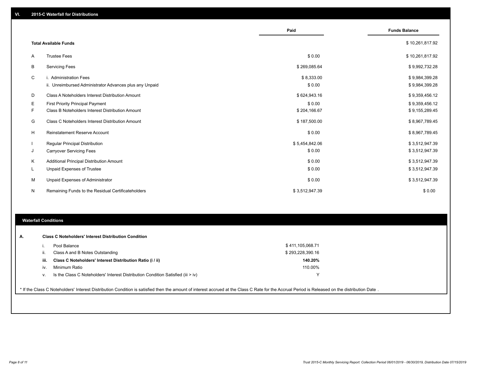|    |                                                                                   | Paid                 | <b>Funds Balance</b>             |
|----|-----------------------------------------------------------------------------------|----------------------|----------------------------------|
|    | <b>Total Available Funds</b>                                                      |                      | \$10,261,817.92                  |
| A  | <b>Trustee Fees</b>                                                               | \$0.00               | \$10,261,817.92                  |
| В  | <b>Servicing Fees</b>                                                             | \$269,085.64         | \$9,992,732.28                   |
| C  | i. Administration Fees<br>ii. Unreimbursed Administrator Advances plus any Unpaid | \$8,333.00<br>\$0.00 | \$9,984,399.28<br>\$9,984,399.28 |
| D  | Class A Noteholders Interest Distribution Amount                                  | \$624,943.16         | \$9,359,456.12                   |
| Е  | First Priority Principal Payment                                                  | \$0.00               | \$9,359,456.12                   |
| F. | Class B Noteholders Interest Distribution Amount                                  | \$204,166.67         | \$9,155,289.45                   |
| G  | Class C Noteholders Interest Distribution Amount                                  | \$187,500.00         | \$8,967,789.45                   |
| H  | <b>Reinstatement Reserve Account</b>                                              | \$0.00               | \$8,967,789.45                   |
|    | Regular Principal Distribution                                                    | \$5,454,842.06       | \$3,512,947.39                   |
| J  | <b>Carryover Servicing Fees</b>                                                   | \$0.00               | \$3,512,947.39                   |
| Κ  | Additional Principal Distribution Amount                                          | \$0.00               | \$3,512,947.39                   |
| L  | <b>Unpaid Expenses of Trustee</b>                                                 | \$0.00               | \$3,512,947.39                   |
| M  | Unpaid Expenses of Administrator                                                  | \$0.00               | \$3,512,947.39                   |
| N  | Remaining Funds to the Residual Certificateholders                                | \$3,512,947.39       | \$0.00                           |

#### **Waterfall Conditions**

|      | Pool Balance                                                                     | \$411,105,068.71 |
|------|----------------------------------------------------------------------------------|------------------|
| Iİ.  | Class A and B Notes Outstanding                                                  | \$293,228,390.16 |
| iii. | Class C Noteholders' Interest Distribution Ratio (i / ii)                        | 140.20%          |
| iv.  | Minimum Ratio                                                                    | 110.00%          |
| V.   | Is the Class C Noteholders' Interest Distribution Condition Satisfied (iii > iv) | ν                |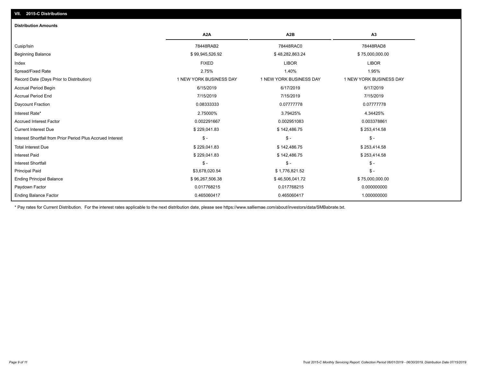# **VII. 2015-C Distributions**

| <b>Distribution Amounts</b>                                |                         |                         |                         |
|------------------------------------------------------------|-------------------------|-------------------------|-------------------------|
|                                                            | A <sub>2</sub> A        | A <sub>2</sub> B        | A3                      |
| Cusip/Isin                                                 | 78448RAB2               | 78448RAC0               | 78448RAD8               |
| <b>Beginning Balance</b>                                   | \$99,945,526.92         | \$48,282,863.24         | \$75,000,000.00         |
| Index                                                      | <b>FIXED</b>            | <b>LIBOR</b>            | <b>LIBOR</b>            |
| Spread/Fixed Rate                                          | 2.75%                   | 1.40%                   | 1.95%                   |
| Record Date (Days Prior to Distribution)                   | 1 NEW YORK BUSINESS DAY | 1 NEW YORK BUSINESS DAY | 1 NEW YORK BUSINESS DAY |
| <b>Accrual Period Begin</b>                                | 6/15/2019               | 6/17/2019               | 6/17/2019               |
| <b>Accrual Period End</b>                                  | 7/15/2019               | 7/15/2019               | 7/15/2019               |
| Daycount Fraction                                          | 0.08333333              | 0.07777778              | 0.07777778              |
| Interest Rate*                                             | 2.75000%                | 3.79425%                | 4.34425%                |
| <b>Accrued Interest Factor</b>                             | 0.002291667             | 0.002951083             | 0.003378861             |
| <b>Current Interest Due</b>                                | \$229,041.83            | \$142,486.75            | \$253,414.58            |
| Interest Shortfall from Prior Period Plus Accrued Interest | $\mathsf{\$}$ -         | $\mathcal{S}$ -         | $\frac{1}{2}$           |
| <b>Total Interest Due</b>                                  | \$229,041.83            | \$142,486.75            | \$253,414.58            |
| <b>Interest Paid</b>                                       | \$229,041.83            | \$142,486.75            | \$253,414.58            |
| <b>Interest Shortfall</b>                                  | $$ -$                   | $\mathsf{\$}$ -         | $$ -$                   |
| <b>Principal Paid</b>                                      | \$3,678,020.54          | \$1,776,821.52          | $$ -$                   |
| <b>Ending Principal Balance</b>                            | \$96,267,506.38         | \$46,506,041.72         | \$75,000,000.00         |
| Paydown Factor                                             | 0.017768215             | 0.017768215             | 0.000000000             |
| <b>Ending Balance Factor</b>                               | 0.465060417             | 0.465060417             | 1.000000000             |

\* Pay rates for Current Distribution. For the interest rates applicable to the next distribution date, please see https://www.salliemae.com/about/investors/data/SMBabrate.txt.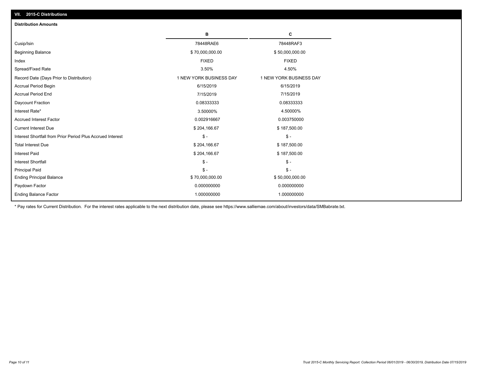| <b>Distribution Amounts</b>                                |                         |                         |
|------------------------------------------------------------|-------------------------|-------------------------|
|                                                            | в                       | C                       |
| Cusip/Isin                                                 | 78448RAE6               | 78448RAF3               |
| <b>Beginning Balance</b>                                   | \$70,000,000.00         | \$50,000,000.00         |
| Index                                                      | <b>FIXED</b>            | <b>FIXED</b>            |
| Spread/Fixed Rate                                          | 3.50%                   | 4.50%                   |
| Record Date (Days Prior to Distribution)                   | 1 NEW YORK BUSINESS DAY | 1 NEW YORK BUSINESS DAY |
| <b>Accrual Period Begin</b>                                | 6/15/2019               | 6/15/2019               |
| <b>Accrual Period End</b>                                  | 7/15/2019               | 7/15/2019               |
| Daycount Fraction                                          | 0.08333333              | 0.08333333              |
| Interest Rate*                                             | 3.50000%                | 4.50000%                |
| <b>Accrued Interest Factor</b>                             | 0.002916667             | 0.003750000             |
| <b>Current Interest Due</b>                                | \$204,166.67            | \$187,500.00            |
| Interest Shortfall from Prior Period Plus Accrued Interest | $\mathcal{S}$ -         | $\mathsf{\$}$ -         |
| <b>Total Interest Due</b>                                  | \$204,166.67            | \$187,500.00            |
| Interest Paid                                              | \$204,166.67            | \$187,500.00            |
| <b>Interest Shortfall</b>                                  | $\mathcal{S}$ -         | $\mathsf{\$}$ -         |
| <b>Principal Paid</b>                                      | $\mathsf{\$}$ -         | $\mathbb{S}$ -          |
| <b>Ending Principal Balance</b>                            | \$70,000,000.00         | \$50,000,000.00         |
| Paydown Factor                                             | 0.000000000             | 0.000000000             |
| <b>Ending Balance Factor</b>                               | 1.000000000             | 1.000000000             |

\* Pay rates for Current Distribution. For the interest rates applicable to the next distribution date, please see https://www.salliemae.com/about/investors/data/SMBabrate.txt.

**VII. 2015-C Distributions**